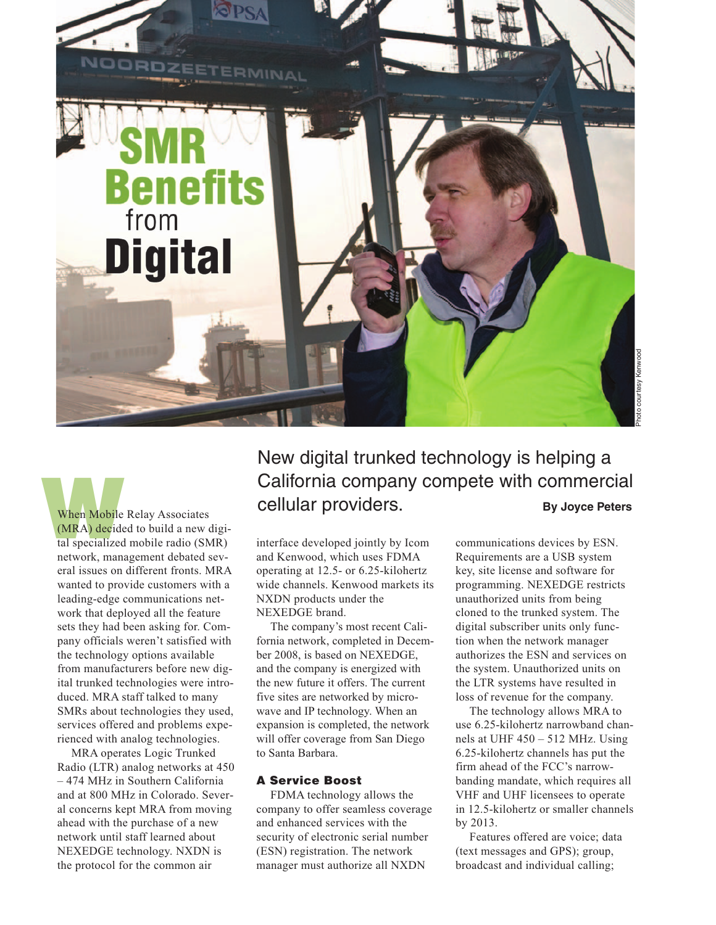

**When Mobile Relay Associates** (MRA) decided to build a new digital specialized mobile radio (SMR) network, management debated several issues on different fronts. MRA wanted to provide customers with a leading-edge communications network that deployed all the feature sets they had been asking for. Company officials weren't satisfied with the technology options available from manufacturers before new digital trunked technologies were introduced. MRA staff talked to many SMRs about technologies they used, services offered and problems experienced with analog technologies.

MRA operates Logic Trunked Radio (LTR) analog networks at 450 – 474 MHz in Southern California and at 800 MHz in Colorado. Several concerns kept MRA from moving ahead with the purchase of a new network until staff learned about NEXEDGE technology. NXDN is the protocol for the common air

New digital trunked technology is helping a California company compete with commercial cellular providers. **By Joyce Peters** 

interface developed jointly by Icom and Kenwood, which uses FDMA operating at 12.5- or 6.25-kilohertz wide channels. Kenwood markets its NXDN products under the NEXEDGE brand.

The company's most recent California network, completed in December 2008, is based on NEXEDGE, and the company is energized with the new future it offers. The current five sites are networked by microwave and IP technology. When an expansion is completed, the network will offer coverage from San Diego to Santa Barbara.

## **A Service Boost**

FDMA technology allows the company to offer seamless coverage and enhanced services with the security of electronic serial number (ESN) registration. The network manager must authorize all NXDN

communications devices by ESN. Requirements are a USB system key, site license and software for programming. NEXEDGE restricts unauthorized units from being cloned to the trunked system. The digital subscriber units only function when the network manager authorizes the ESN and services on the system. Unauthorized units on the LTR systems have resulted in loss of revenue for the company.

The technology allows MRA to use 6.25-kilohertz narrowband channels at UHF 450 – 512 MHz. Using 6.25-kilohertz channels has put the firm ahead of the FCC's narrowbanding mandate, which requires all VHF and UHF licensees to operate in 12.5-kilohertz or smaller channels by 2013.

Features offered are voice; data (text messages and GPS); group, broadcast and individual calling;